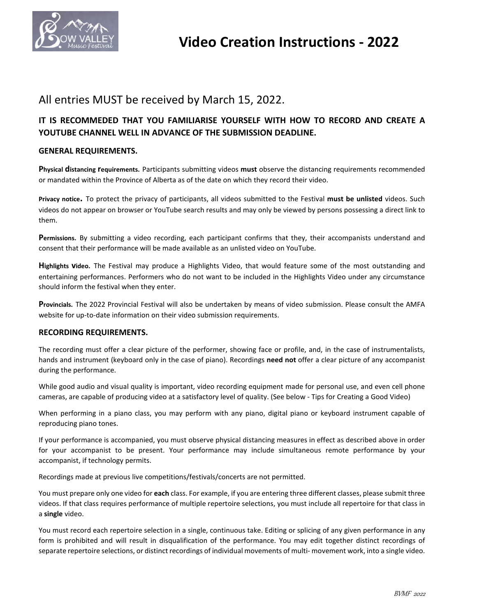

## All entries MUST be received by March 15, 2022.

### **IT IS RECOMMEDED THAT YOU FAMILIARISE YOURSELF WITH HOW TO RECORD AND CREATE A YOUTUBE CHANNEL WELL IN ADVANCE OF THE SUBMISSION DEADLINE.**

### **GENERAL REQUIREMENTS.**

**Physical distancing requirements.** Participants submitting videos **must** observe the distancing requirements recommended or mandated within the Province of Alberta as of the date on which they record their video.

**Privacy notice.** To protect the privacy of participants, all videos submitted to the Festival **must be unlisted** videos. Such videos do not appear on browser or YouTube search results and may only be viewed by persons possessing a direct link to them.

**Permissions.** By submitting a video recording, each participant confirms that they, their accompanists understand and consent that their performance will be made available as an unlisted video on YouTube.

**Highlights video.** The Festival may produce a Highlights Video, that would feature some of the most outstanding and entertaining performances. Performers who do not want to be included in the Highlights Video under any circumstance should inform the festival when they enter.

**Provincials.** The 2022 Provincial Festival will also be undertaken by means of video submission. Please consult the AMFA website for up-to-date information on their video submission requirements.

### **RECORDING REQUIREMENTS.**

The recording must offer a clear picture of the performer, showing face or profile, and, in the case of instrumentalists, hands and instrument (keyboard only in the case of piano). Recordings **need not** offer a clear picture of any accompanist during the performance.

While good audio and visual quality is important, video recording equipment made for personal use, and even cell phone cameras, are capable of producing video at a satisfactory level of quality. (See below - Tips for Creating a Good Video)

When performing in a piano class, you may perform with any piano, digital piano or keyboard instrument capable of reproducing piano tones.

If your performance is accompanied, you must observe physical distancing measures in effect as described above in order for your accompanist to be present. Your performance may include simultaneous remote performance by your accompanist, if technology permits.

Recordings made at previous live competitions/festivals/concerts are not permitted.

You must prepare only one video for **each** class. For example, if you are entering three different classes, please submit three videos. If that class requires performance of multiple repertoire selections, you must include all repertoire for that class in a **single** video.

You must record each repertoire selection in a single, continuous take. Editing or splicing of any given performance in any form is prohibited and will result in disqualification of the performance. You may edit together distinct recordings of separate repertoire selections, or distinct recordings of individual movements of multi- movement work, into a single video.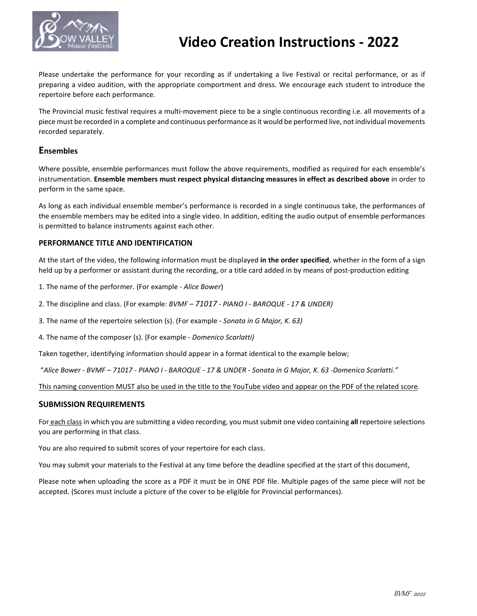

# **Video Creation Instructions - 2022**

Please undertake the performance for your recording as if undertaking a live Festival or recital performance, or as if preparing a video audition, with the appropriate comportment and dress. We encourage each student to introduce the repertoire before each performance.

The Provincial music festival requires a multi-movement piece to be a single continuous recording i.e. all movements of a piece must be recorded in a complete and continuous performance as it would be performed live, not individual movements recorded separately.

### **Ensembles**

Where possible, ensemble performances must follow the above requirements, modified as required for each ensemble's instrumentation. **Ensemble members must respect physical distancing measures in effect as described above** in order to perform in the same space.

As long as each individual ensemble member's performance is recorded in a single continuous take, the performances of the ensemble members may be edited into a single video. In addition, editing the audio output of ensemble performances is permitted to balance instruments against each other.

### **PERFORMANCE TITLE AND IDENTIFICATION**

At the start of the video, the following information must be displayed **in the order specified**, whether in the form of a sign held up by a performer or assistant during the recording, or a title card added in by means of post-production editing

1. The name of the performer. (For example - *Alice Bower*)

2. The discipline and class. (For example*: BVMF – 71017 - PIANO I - BAROQUE - 17 & UNDER)*

3. The name of the repertoire selection (s). (For example *- Sonata in G Major, K. 63)*

4. The name of the composer (s). (For example - *Domenico Scarlatti)*

Taken together, identifying information should appear in a format identical to the example below;

"*Alice Bower - BVMF – 71017 - PIANO I - BAROQUE - 17 & UNDER - Sonata in G Major, K. 63 -Domenico Scarlatti."*

This naming convention MUST also be used in the title to the YouTube video and appear on the PDF of the related score.

### **SUBMISSION REQUIREMENTS**

For each class in which you are submitting a video recording, you must submit one video containing **all** repertoire selections you are performing in that class.

You are also required to submit scores of your repertoire for each class.

You may submit your materials to the Festival at any time before the deadline specified at the start of this document,

Please note when uploading the score as a PDF it must be in ONE PDF file. Multiple pages of the same piece will not be accepted. (Scores must include a picture of the cover to be eligible for Provincial performances).